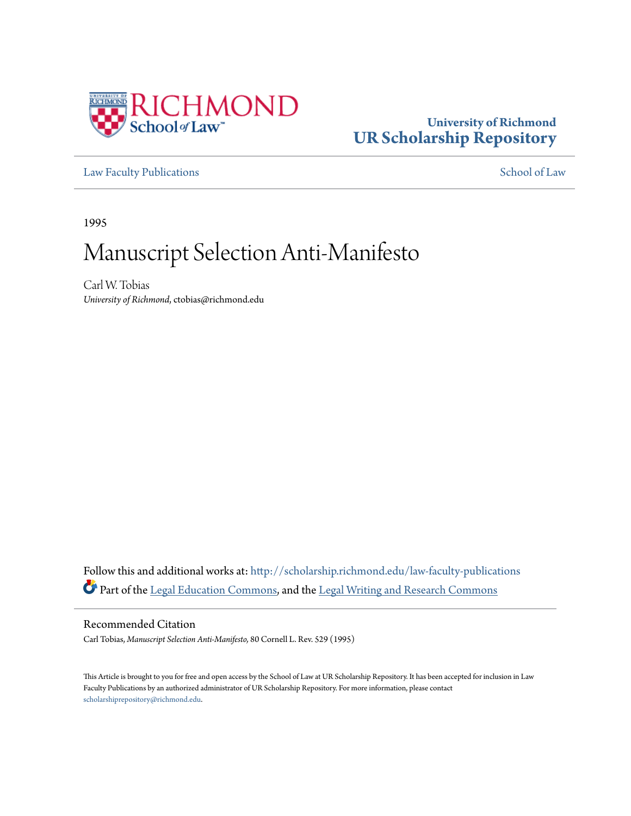

# **University of Richmond [UR Scholarship Repository](http://scholarship.richmond.edu?utm_source=scholarship.richmond.edu%2Flaw-faculty-publications%2F598&utm_medium=PDF&utm_campaign=PDFCoverPages)**

[Law Faculty Publications](http://scholarship.richmond.edu/law-faculty-publications?utm_source=scholarship.richmond.edu%2Flaw-faculty-publications%2F598&utm_medium=PDF&utm_campaign=PDFCoverPages) [School of Law](http://scholarship.richmond.edu/law?utm_source=scholarship.richmond.edu%2Flaw-faculty-publications%2F598&utm_medium=PDF&utm_campaign=PDFCoverPages)

1995

# Manuscript Selection Anti-Manifesto

Carl W. Tobias *University of Richmond*, ctobias@richmond.edu

Follow this and additional works at: [http://scholarship.richmond.edu/law-faculty-publications](http://scholarship.richmond.edu/law-faculty-publications?utm_source=scholarship.richmond.edu%2Flaw-faculty-publications%2F598&utm_medium=PDF&utm_campaign=PDFCoverPages) Part of the [Legal Education Commons,](http://network.bepress.com/hgg/discipline/857?utm_source=scholarship.richmond.edu%2Flaw-faculty-publications%2F598&utm_medium=PDF&utm_campaign=PDFCoverPages) and the [Legal Writing and Research Commons](http://network.bepress.com/hgg/discipline/614?utm_source=scholarship.richmond.edu%2Flaw-faculty-publications%2F598&utm_medium=PDF&utm_campaign=PDFCoverPages)

Recommended Citation

Carl Tobias, *Manuscript Selection Anti-Manifesto,* 80 Cornell L. Rev. 529 (1995)

This Article is brought to you for free and open access by the School of Law at UR Scholarship Repository. It has been accepted for inclusion in Law Faculty Publications by an authorized administrator of UR Scholarship Repository. For more information, please contact [scholarshiprepository@richmond.edu.](mailto:scholarshiprepository@richmond.edu)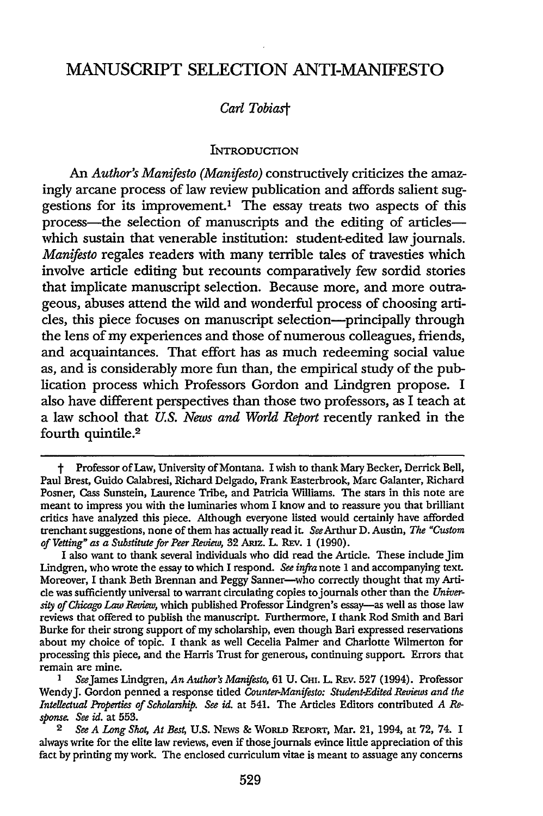# MANUSCRIPT SELECTION ANTI-MANIFESTO

# *Carl Tobia.st*

#### **INTRODUCTION**

An *Author's Manifesto (Manifesto)* constructively criticizes the amazingly arcane process of law review publication and affords salient suggestions for its improvement.1 The essay treats two aspects of this process—the selection of manuscripts and the editing of articles which sustain that venerable institution: student-edited law journals. *Manifesto* regales readers with many terrible tales of travesties which involve article editing but recounts comparatively few sordid stories that implicate manuscript selection. Because more, and more outrageous, abuses attend the wild and wonderful process of choosing articles, this piece focuses on manuscript selection-principally through the lens of my experiences and those of numerous colleagues, friends, and acquaintances. That effort has as much redeeming social value as, and is considerably more fun than, the empirical study of the publication process which Professors Gordon and Lindgren propose. I also have different perspectives than those two professors, as I teach at a law school that *U.S. News and World Report* recently ranked in the fourth quintile.2

t Professor of Law, University of Montana. I wish to thank Mary Becker, Derrick Bell, Paul Brest, Guido Calabresi, Richard Delgado, Frank Easterbrook, Marc Galanter, Richard Posner, Cass Sunstein, Laurence Tribe, and Patricia Williams. The stars in this note are meant to impress you with the luminaries whom I know and to reassure you that brilliant critics have analyzed this piece. Although everyone listed would certainly have afforded trenchant suggestions, none of them has actually read it. *See* Arthur D. Austin, *The "Custom of Vetting" as a Substitute for Peer Review,* 32 Aruz. L. REv. 1 (1990).

I also want to thank several individuals who did read the Article. These include Jim Lindgren, who wrote the essay to which I respond. *See infra* note 1 and accompanying text. Moreover, I thank Beth Brennan and Peggy Sanner-who correctly thought that my Article was sufficiently universal to warrant circulating copies to journals other than the *Univer*sity *of Chicago* Law *Review,* which published Professor Lindgren's essay-as well as those law reviews that offered to publish the manuscript. Furthermore, I thank Rod Smith and Bari Burke for their strong support of my scholarship, even though Bari expressed reservations about my choice of topic. I thank as well Cecelia Palmer and Charlotte Wilmerton for processing this piece, and the Harris Trust for generous, continuing support. Errors that remain are mine.

See James Lindgren, *An Author's Manifesto*, 61 U. CHI. L. REv. 527 (1994). Professor Wendy J. Gordon penned a response titled *Counter-Manifesto: Student-Edited Reviews and the Intellectual Properties of Scholarship. See* id. at 541. The Articles Editors contributed *A* Re*sponse. See* id. at 553.

<sup>2</sup> *See A Lang Shot, At Best,* U.S. NEWS & WORLD REPORT, Mar. 21, 1994, at 72, 74. I always write for the elite law reviews, even if those journals evince little appreciation of this fact by printing my work. The enclosed curriculum vitae is meant to assuage any concerns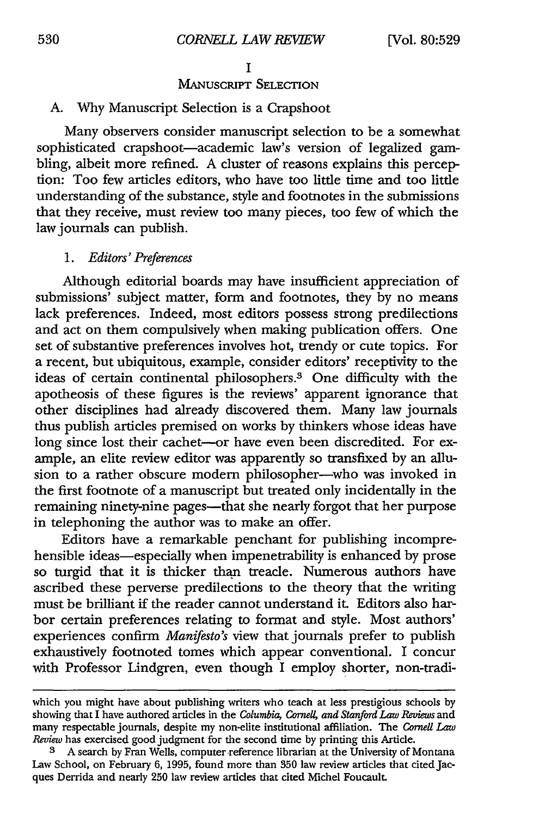# MANUSCRIPT SELECTION

# A. Why Manuscript Selection is a Crapshoot

Many obsexvers consider manuscript selection to be a somewhat sophisticated crapshoot-academic law's version of legalized gambling, albeit more refined. A cluster of reasons explains this perception: Too few articles editors, who have too little time and too little understanding of the substance, style and footnotes in the submissions that they receive, must review too many pieces, too few of which the law journals can publish.

### 1. *Editors' Preferences*

Although editorial boards may have insufficient appreciation of submissions' subject matter, form and footnotes, they by no means lack preferences. Indeed, most editors possess strong predilections and act on them compulsively when making publication offers. One set of substantive preferences involves hot, trendy or cute topics. For a recent, but ubiquitous, example, consider editors' receptivity to the ideas of certain continental philosophers.3 One difficulty with the apotheosis of these figures is the reviews' apparent ignorance that other disciplines had already discovered them. Many law journals thus publish articles premised on works by thinkers whose ideas have long since lost their cachet—or have even been discredited. For example, an elite review editor was apparently so transfixed by an allusion to a rather obscure modern philosopher-who was invoked in the first footnote of a manuscript but treated only incidentally in the remaining ninety-nine pages-that she nearly forgot that her purpose in telephoning the author was to make an offer.

Editors have a remarkable penchant for publishing incomprehensible ideas—especially when impenetrability is enhanced by prose so turgid that it is thicker than treacle. Numerous authors have ascribed these pexverse predilections to the theory that the writing must be brilliant if the reader cannot understand it. Editors also harbor certain preferences relating to format and style. Most authors' experiences confirm *Manifesto's* view that journals prefer to publish exhaustively footnoted tomes which appear conventional. I concur with Professor Lindgren, even though I employ shorter, non-tradi-

which you might have about publishing writers who teach at less prestigious schools by showing that I have authored articles in the *Columbia, Cornell, and Stanford Law* Reviews and many respectable journals, despite my non-elite institutional affiliation. The *Cornell Law Review* has exercised good judgment for the second time by printing this Article.

<sup>3</sup> A search by Fran Wells, computer-reference librarian at the University of Montana Law School, on February 6, 1995, found more than 350 law review articles that cited Jacques Derrida and nearly 250 law review articles that cited Michel Foucault.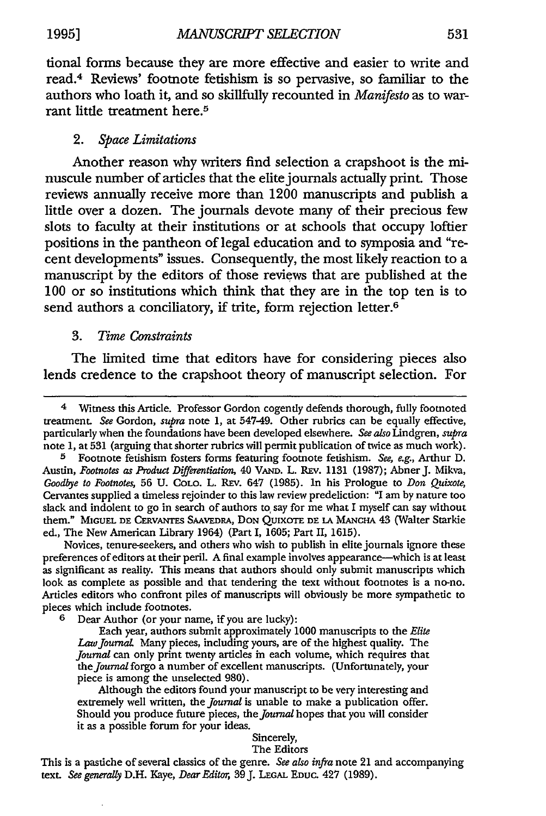tional forms because they are more effective and easier to write and read.4 Reviews' footnote fetishism is so pervasive, so familiar to the authors who loath it, and so skillfully recounted in *Manifesto* as to warrant little treatment here.<sup>5</sup>

## 2. *Space Limitations*

Another reason why writers find selection a crapshoot is the minuscule number of articles that the elite journals actually print. Those reviews annually receive more than 1200 manuscripts and publish a little over a dozen. The journals devote many of their precious few slots to faculty at their institutions or at schools that occupy loftier positions in the pantheon of legal education and to symposia and "recent developments" issues. Consequently, the most likely reaction to a manuscript by the editors of those reviews that are published at the 100 or so institutions which think that they are in the top ten is to send authors a conciliatory, if trite, form rejection letter.<sup>6</sup>

# 3. *Time Constraints*

The limited time that editors have for considering pieces also lends credence to the crapshoot theory of manuscript selection. For

Novices, tenure-seekers, and others who wish to publish in elite journals ignore these preferences of editors at their peril. A final example involves appearance—which is at least as significant as reality. This means that authors should only submit manuscripts which look as complete as possible and that tendering the text without foomotes is a no-no. Articles editors who confront piles of manuscripts will obviously be more sympathetic to pieces which include foomotes.

6 Dear Author (or your name, if you are lucky):

Each year, authors submit approximately 1000 manuscripts to the *Elite*  Law *journal.* Many pieces, including yours, are of the highest quality. The *journal* can only print twenty articles in each volume, which requires that the *journal* forgo a number of excellent manuscripts. (Unfortunately, your piece is among the unselected 980).

Although the editors found your manuscript to be very interesting and extremely well written, the *journal* is unable to make a publication offer. Should you produce future pieces, the *journal* hopes that you will consider it as a possible forum for your ideas.

#### Sincerely,

#### The Editors

This is a pastiche of several classics of the genre. See also infra note 21 and accompanying text. *See generally* D.H. Kaye, *Dear Editor,* 39 J. LEGAL EDUC. 427 (1989).

<sup>4</sup> Wimess this Article. Professor Gordon cogently defends thorough, fully foomoted treatment. *See* Gordon, *supra* note 1, at 547-49. Other rubrics can be equally effective, particularly when the foundations have been developed elsewhere. *See also* Lindgren, *supra*  note 1, at 531 (arguing that shorter rubrics will permit publication of twice as much work).

<sup>5</sup> Foomote fetishism fosters forms featuring foomote fetishism. *See, e.g.,* Arthur D. Austin, *Footnotes as Product Differentiation,* 40 VAND. L. REv. 1131 (1987); Abner J. Mikva, *Goodbye to Footnotes, 56 U. COLO. L. REV. 647 (1985). In his Prologue to Don Quixote,* Cervantes supplied a timeless rejoinder to this law review predeliction: "I am by nature too slack and indolent to go in search of authors to, say for me what I myself can say without them." MIGUEL DE CERVANTES SAAVEDRA, DoN QUIXOTE DE LA MANCHA 43 {Walter Starkie ed., The New American Library 1964) (Part I, 1605; Part II, 1615).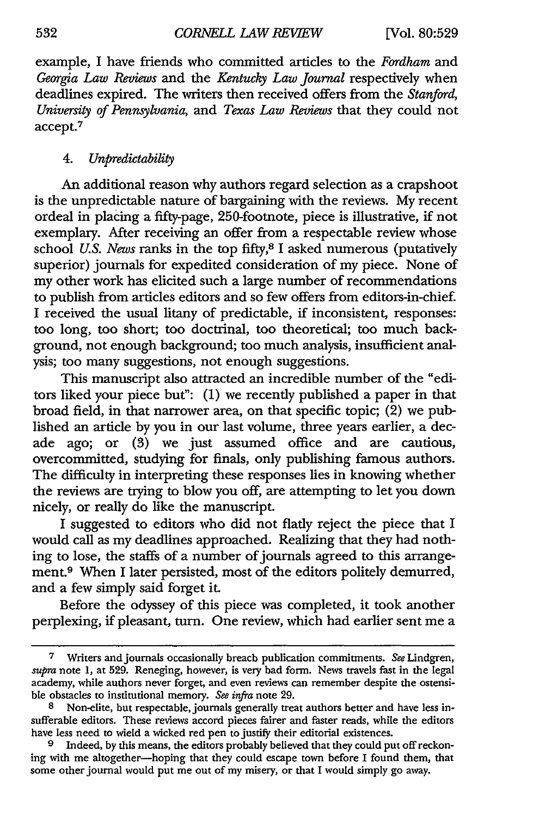example, I have friends who committed articles to the *Fordham* and Georgia Law Reviews and the *Kentucky Law Journal* respectively when deadlines expired. The writers then received offers from the *Stanford, University* of *Pennsylvania,* and *Texas Law Reviews* that they could not accept.7

## 4. *Unpredictability*

An additional reason why authors regard selection as a crapshoot is the unpredictable nature of bargaining with the reviews. My recent ordeal in placing a fifty-page, 250-footnote, piece is illustrative, if not exemplary. After receiving an offer from a respectable review whose school *U.S. News* ranks in the top fifty, 8 I asked numerous (putatively superior) journals for expedited consideration of my piece. None of my other work has elicited such a large number of recommendations to publish from articles editors and so few offers from editors-in-chief. I received the usual litany of predictable, if inconsistent, responses: too long, too short; too doctrinal, too theoretical; too much background, not enough background; too much analysis, insufficient analysis; too many suggestions, not enough suggestions.

This manuscript also attracted an incredible number of the "editors liked your piece but": (I) we recently published a paper in that broad field, in that narrower area, on that specific topic;  $(2)$  we published an article by you in our last volume, three years earlier, a decade ago; or (3) we just assumed office and are cautious, overcommitted, studying for finals, only publishing famous authors. The difficulty in interpreting these responses lies in knowing whether the reviews are trying to blow you off, are attempting to let you down nicely, or really do like the manuscript.

I suggested to editors who did not flatly reject the piece that I would call as my deadlines approached. Realizing that they had nothing to lose, the staffs of a number of journals agreed to this arrangement.<sup>9</sup> When I later persisted, most of the editors politely demurred, and a few simply said forget it.

Before the odyssey of this piece was completed, it took another perplexing, if pleasant, tum. One review, which had earlier sent me a

<sup>7</sup> Writers and journals occasionally breach publication commitments. *See* Lindgren, *supra* note 1, at 529. Reneging, however, is very bad form. News travels fast in the legal academy, while authors never forget, and even reviews can remember despite the ostensible obstacles to institutional memory. *See infra* note 29.

<sup>8</sup> Non-elite, but respectable, journals generally treat authors better and have less insufferable editors. These reviews accord pieces fairer and faster reads, while the editors have less need to wield a wicked red pen to justify their editorial existences.

<sup>9</sup> Indeed, by this means, the editors probably believed that they could put off reckoning with me altogether-hoping that they could escape town before I found them, that some other journal would put me out of my misery, or that I would simply go away.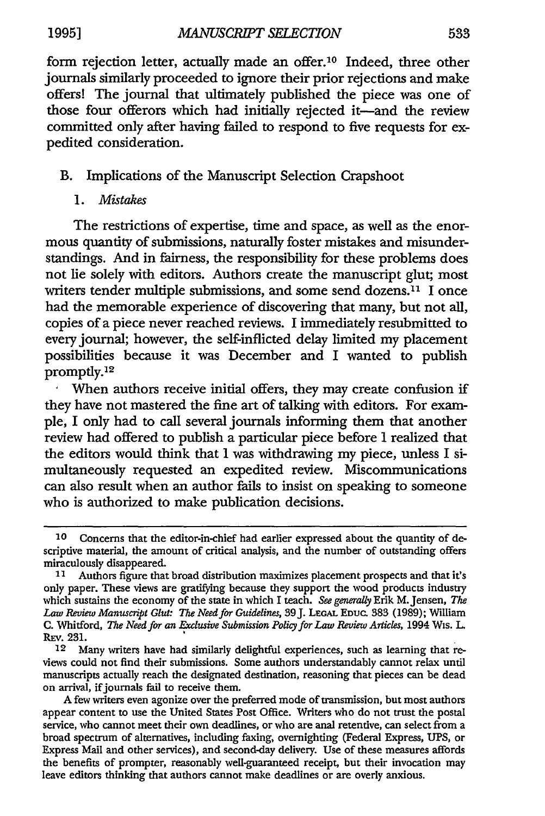form rejection letter, actually made an offer.<sup>10</sup> Indeed, three other journals similarly proceeded to ignore their prior rejections and make offers! The journal that ultimately published the piece was one of those four offerors which had initially rejected it-and the review committed only after having failed to respond to five requests for expedited consideration.

# B. Implications of the Manuscript Selection Crapshoot

I. *Mistakes* 

The restrictions of expertise, time and space, as well as the enormous quantity of submissions, naturally foster mistakes and misunderstandings. And in fairness, the responsibility for these problems does not lie solely with editors. Authors create the manuscript glut; most writers tender multiple submissions, and some send dozens.<sup>11</sup> I once had the memorable experience of discovering that many, but not all, copies of a piece never reached reviews. I immediately resubmitted to every journal; however, the self-inflicted delay limited my placement possibilities because it was December and I wanted to publish promptly.<sup>12</sup>

When authors receive initial offers, they may create confusion if they have not mastered the fine art of talking with editors. For example, I only had to call several journals informing them that another review had offered to publish a particular piece before I realized that the editors would think that I was withdrawing my piece, unless I simultaneously requested an expedited review. Miscommunications can also result when an author fails to insist on speaking to someone who is authorized to make publication decisions.

<sup>10</sup> Concerns that the editor-in-chief had earlier expressed about the quantity of descriptive material, the amount of critical analysis, and the number of outstanding offers miraculously disappeared.

<sup>11</sup> Authors figure that broad distribution maximizes placement prospects and that it's only paper. These views are gratifying because they support the wood products industry which sustains the economy of the state in which I teach. *See generally* Erik M.Jensen, *The*  Law *Review Manuscript Glut: The Need for Guidelines,* 39 J. LEGAL Eouc. 383 (1989); William C. Whitford, *The Need for an Exclusive Submission Policy for* Law *Review Articles,* 1994 Wis. L REv. 231. •

<sup>12</sup> Many writers have had similarly delightful experiences, such as learning that reviews could not find their submissions. Some authors understandably cannot relax until manuscripts actually reach the designated destination, reasoning that pieces can be dead on arrival, if journals fail to receive them.

A few writers even agonize over the preferred mode of transmission, but most authors appear content to use the United States Post Office. Writers who do not trust the postal service, who cannot meet their own deadlines, or who are anal retentive, can select from a broad spectrum of alternatives, including faxing, overnighting (Federal Express, UPS, or Express Mail and other services), and second-day delivery. Use of these measures affords the benefits of prompter, reasonably well-guaranteed receipt, but their invocation may leave editors thinking that authors cannot make deadlines or are overly anxious.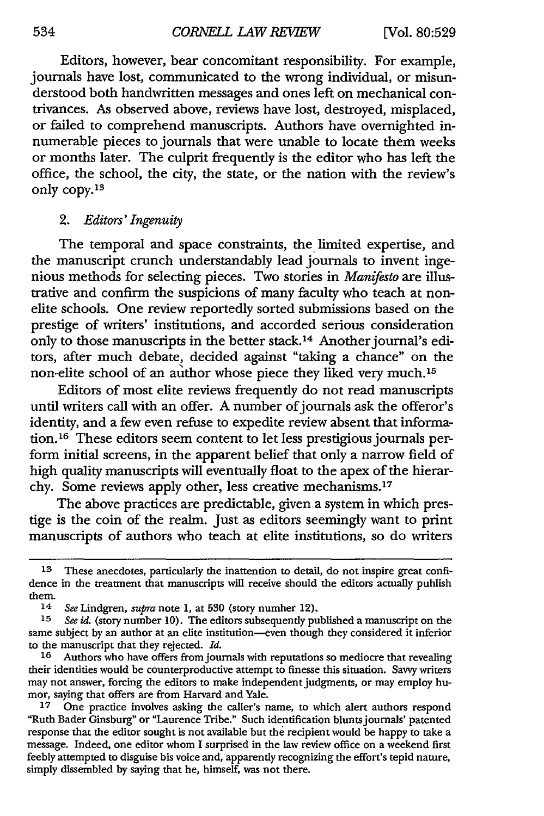Editors, however, bear concomitant responsibility. For example, journals have lost, communicated to the wrong individual, or misunderstood both handwritten messages and ones left on mechanical contrivances. As observed above, reviews have lost, destroyed, misplaced, or failed to comprehend manuscripts. Authors have overnighted innumerable pieces to journals that were unable to locate them weeks or months later. The culprit frequently is the editor who has left the office, the school, the city, the state, or the nation with the review's only copy.13

## 2. *Editors' Ingenuity*

The temporal and space constraints, the limited expertise, and the manuscript crunch understandably lead journals to invent ingenious methods for selecting pieces. Two stories in *Manifesto* are illustrative and confirm the suspicions of many faculty who teach at nonelite schools. One review reportedly sorted submissions based on the prestige of writers' institutions, and accorded serious consideration only to those manuscripts in the better stack.<sup>14</sup> Another journal's editors, after much debate, decided against "taking a chance" on the non-elite school of an author whose piece they liked very much.15

Editors of most elite reviews frequently do not read manuscripts until writers call with an offer. A number of journals ask the offeror's identity, and a few even refuse to expedite review absent that information.16 These editors seem content to let less prestigious journals perform initial screens, in the apparent belief that only a narrow field of high quality manuscripts will eventually float to the apex of the hierarchy. Some reviews apply other, less creative mechanisms.17

The above practices are predictable, given a system in which prestige is the coin of the realm. Just as editors seemingly want to print manuscripts of authors who teach at elite institutions, so do writers

<sup>13</sup> These anecdotes, particularly the inattention to detail, do not inspire great confidence in the treatment that manuscripts will receive should the editors actually puhlish them.<br> $\frac{14}{14}$ 

<sup>14</sup> *See* Lindgren, *supra* note 1, at 530 (story numher 12).

See id. (story number 10). The editors subsequently published a manuscript on the same subject by an author at an elite institution-even though they considered it inferior to the manuscript that they rejected. *Id.* 16 Authors who have offers from jou

Authors who have offers from journals with reputations so mediocre that revealing their identities would be counterproductive attempt to finesse this situation. Savvy writers may not answer, forcing the editors to make independent judgments, or may employ humor, saying that offers are from Harvard and Yale.

<sup>17</sup> One practice involves asking the caller's name, to which alert authors respond "Ruth Bader Ginsburg" or "Laurence Tribe." Such identification blunts journals' patented response that the editor sought is not available but the recipient would be happy to take a message. Indeed, one editor whom I surprised in the law review office on a weekend first feebly attempted to disguise bis voice and, apparently recognizing the effort's tepid nature, simply dissembled by saying that he, himself, was not there.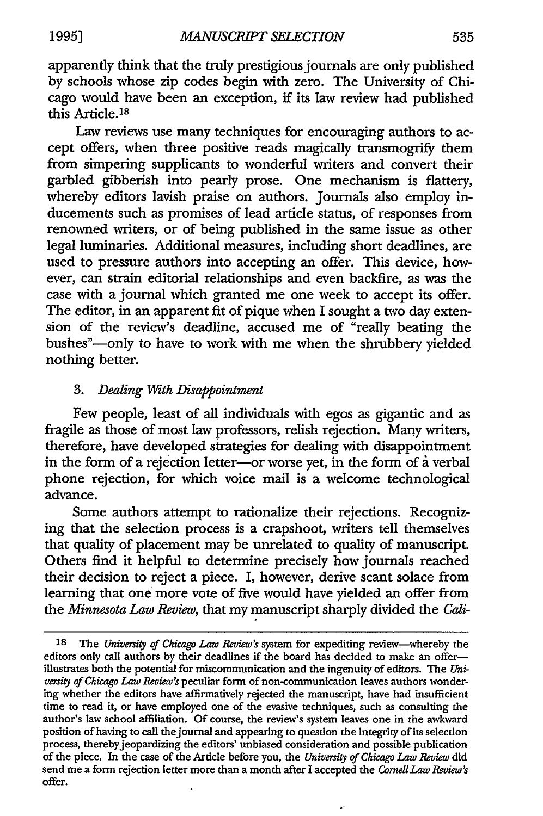apparently think that the truly prestigious journals are only published by schools whose zip codes begin with zero. The University of Chicago would have been an exception, if its law review had published this Article. is

Law reviews use many techniques for encouraging authors to accept offers, when three positive reads magically transmogrify them from simpering supplicants to wonderful writers and convert their garbled gibberish into pearly prose. One mechanism is flattery, whereby editors lavish praise on authors. Journals also employ inducements such as promises of lead article status, of responses from renowned writers, or of being published in the same issue as other legal luminaries. Additional measures, including short deadlines, are used to pressure authors into accepting an offer. This device, however, can strain editorial relationships and even backfire, as was the case with a journal which granted me one week to accept its offer. The editor, in an apparent fit of pique when I sought a two day extension of the review's deadline, accused me of "really beating the bushes"—only to have to work with me when the shrubbery yielded nothing better.

# 3. *Dealing With Disappointment*

Few people, least of all individuals with egos as gigantic and as fragile as those of most law professors, relish rejection. Many writers, therefore, have developed strategies for dealing with disappointment in the form of a rejection letter-or worse yet, in the form of a verbal phone rejection, for which voice mail is a welcome technological advance.

Some authors attempt to rationalize their rejections. Recognizing that the selection process is a crapshoot, writers tell themselves that quality of placement may be unrelated to quality of manuscript. Others find it helpful to determine precisely how journals reached their decision to reject a piece. I, however, derive scant solace from learning that one more vote of five would have yielded an offer from the *Minnesota Law Review*, that my manuscript sharply divided the *Cali-*

<sup>18</sup> The *University of Chicago Law* Review's system for expediting review-whereby the editors only call authors by their deadlines if the board has decided to make an offerillustrates both the potential for miscommunication and the ingenuity of editors. The *University of Chicago Law* Review's peculiar form of non-communication leaves authors wondering whether the editors have affirmatively rejected the manuscript, have had insufficient time to read it, or have employed one of the evasive techniques, such as consulting the author's law school affiliation. Of course, the review's system leaves one in the awkward position of having to call the journal and appearing to question the integrity of its selection process, thereby jeopardizing the editors' unbiased consideration and possible publication of the piece. In the case of the Article before you, the *University of Chicago Law* Review did send me a form rejection letter more than a month after I accepted the *Cornell Law* Review's offer.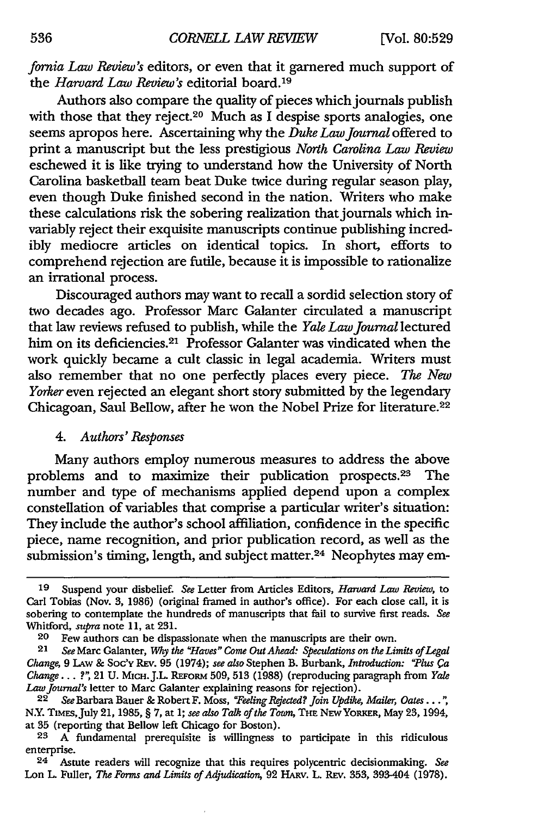*fornia Law Review's* editors, or even that it garnered much support of the *Harvard Law Review's* editorial board.19

Authors also compare the quality of pieces which journals publish with those that they reject.<sup>20</sup> Much as I despise sports analogies, one seems apropos here. Ascertaining why the *Duke Law journal* offered to print a manuscript but the less prestigious *North Carolina Law Review*  eschewed it is like trying to understand how the University of North Carolina basketball team beat Duke twice during regular season play, even though Duke finished second in the nation. Writers who make these calculations risk the sobering realization that journals which invariably reject their exquisite manuscripts continue publishing incredibly mediocre articles on identical topics. In short, efforts to comprehend rejection are futile, because it is impossible to rationalize an irrational process.

Discouraged authors may want to recall a sordid selection story of two decades ago. Professor Marc Galanter circulated a manuscript that law reviews refused to publish, while the *Yale Law journal* lectured him on its deficiencies.<sup>21</sup> Professor Galanter was vindicated when the work quickly became a cult classic in legal academia. Writers must also remember that no one perfectly places every piece. *The New*  Yorker even rejected an elegant short story submitted by the legendary Chicagoan, Saul Bellow, after he won the Nobel Prize for literature.22

# 4. *Authors' Responses*

Many authors employ numerous measures to address the above problems and to maximize their publication prospects.<sup>23</sup> The number and type of mechanisms applied depend upon a complex constellation of variables that comprise a particular writer's situation: They include the author's school affiliation, confidence in the specific piece, name recognition, and prior publication record, as well as the submission's timing, length, and subject matter.<sup>24</sup> Neophytes may em-

<sup>19</sup> Suspend your disbelief. *See* Letter from Articles Editors, *Haroard Law Review,* to Carl Tobias (Nov. 3, 1986) (original framed in author's office). For each close call, it is sobering to contemplate the hundreds of manuscripts that fail to survive first reads. *See*  Whitford, *supra* note 11, at 231.

<sup>20</sup> Few authors can be dispassionate when the manuscripts are their own.<br>21 See Marc Galanter, Why the "Houes" Come Out Ahead: Sheculations on the Lin

<sup>21</sup> *See* Marc Galanter, Why *the "Ha:ues"* Come Out *Ahead: Speculations on the Limits of* Legal *Change,* 9 LAw & Soc'v REv. 95 (1974); *see also* Stephen B. Burbank, *Introduction: "Plus Ca Change .* .• *?",* 21 U. M1ett.J.L. REFORM 509, 513 (1988) (reproducing paragraph from *Yale Law journal's* letter to Marc Galanter explaining reasons for rejection).

<sup>&</sup>lt;sup>22</sup> See Barbara Bauer & Robert F. Moss, "Feeling Rejected? Join Updike, Mailer, Oates . . .", N.Y. TIMES,July 21, 1985, § 7, at l; *see also Talk of the Tawn,* THE NEW YORKER, May 23, 1994, at 35 (reporting that Bellow left Chicago for Boston).<br><sup>23</sup> A fundamental prerequisite is willinoness

A fundamental prerequisite is willingness to participate in this ridiculous enterprise.

<sup>24</sup> Astute readers will recognize that this requires polycentric decisionmaking. *See*  Lon L. Fuller, *The Forms and Limits of Adjudication,* 92 lIARv. L. REv. 353, 393-404 (1978).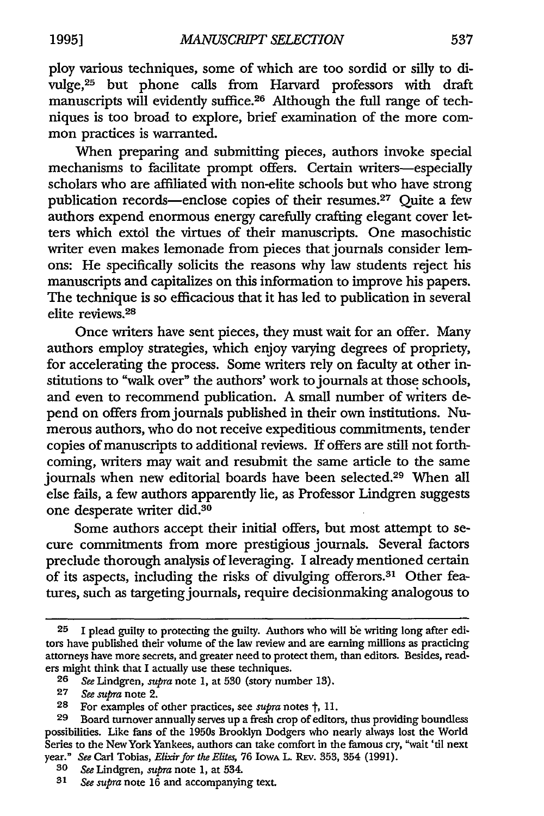ploy various techniques, some of which are too sordid or silly to divulge, 25 but phone calls from Harvard professors with draft manuscripts will evidently suffice. 26 Although the full range of techniques is too broad to explore, brief examination of the more common practices is warranted.

When preparing and submitting pieces, authors invoke special mechanisms to facilitate prompt offers. Certain writers-especially scholars who are affiliated with non-elite schools but who have strong publication records—enclose copies of their resumes.<sup>27</sup> Quite a few authors expend enormous energy carefully crafting elegant cover letters which extol the virtues of their manuscripts. One masochistic writer even makes lemonade from pieces that journals consider lemons: He specifically solicits the reasons why law students reject his manuscripts and capitalizes on this information to improve his papers. The technique is so efficacious that it has led to publication in several elite reviews. <sup>28</sup>

Once writers have sent pieces, they must wait for an offer. Many authors employ strategies, which enjoy varying degrees of propriety, for accelerating the process. Some writers rely on faculty at other institutions to "walk over" the authors' work to journals at those schools, and even to recommend publication. A small number of writers depend on offers from journals published in their own institutions. Numerous authors, who do not receive expeditious commitments, tender copies of manuscripts to additional reviews. If offers are still not forthcoming, writers may wait and resubmit the same article to the same journals when new editorial boards have been selected.29 When all else fails, a few authors apparently lie, as Professor Lindgren suggests one desperate writer did.30

Some authors accept their initial offers, but most attempt to secure commitments from more prestigious journals. Several factors preclude thorough analysis of leveraging. I already mentioned certain of its aspects, including the risks of divulging offerors.<sup>31</sup> Other features, such as targeting journals, require decisionmaking analogous to

<sup>25</sup> I plead guilty to protecting the guilty. Authors who will he writing long after editors have published their volume of the law review and are earning millions as practicing attorneys have more secrets, and greater need to protect them, than editors. Besides, readers might think that I actually use these techniques.<br>26 See Lindgren, subra note 1, at 530 (story nun

<sup>26</sup> *See* Lindgren, *supra* note 1, at 530 (story number 13).

<sup>27</sup> *See supra* note 2.

<sup>28</sup> For examples of other practices, see *supra* notes  $\dagger$ , 11.<br>29 Board turnover annually serves un a fresh crop of editor

<sup>29</sup> Board turnover annually serves up a fresh crop of editors, thus providing boundless possibilities. Like fans of the 1950s Brooklyn Dodgers who nearly always lost the World Series to the New York Yankees, authors can take comfort in the famous cry, "wait 'til next year." *See* Carl Tobias, *Elixir for the Elites,* 76 lowA L. REv. 353, 354 (1991).

<sup>30</sup> *See* Lindgren, *supra* note 1, at 534.

See supra note 16 and accompanying text.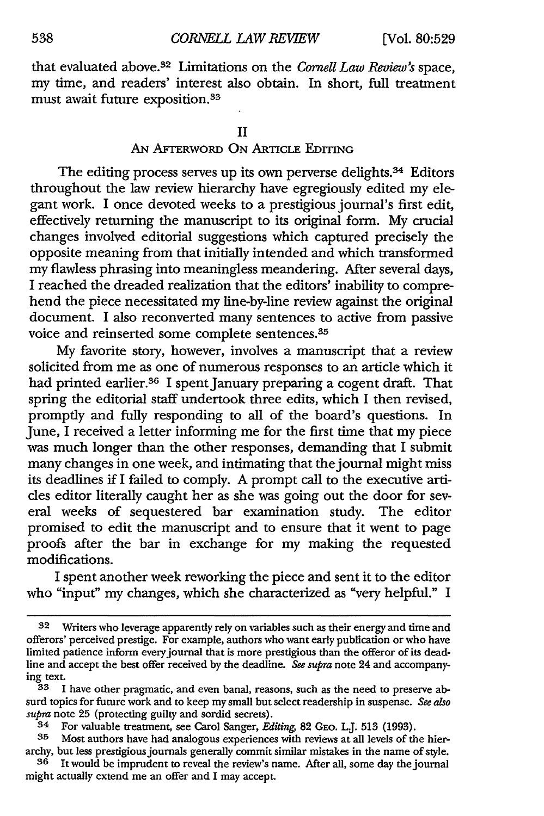that evaluated above.32 Limitations on the *Cornell Law Review's* space, my time, and readers' interest also obtain. In short, full treatment must await future exposition.33

# AN AFTERWORD ON ARTICLE EDITING

The editing process serves up its own perverse delights.<sup>34</sup> Editors throughout the law review hierarchy have egregiously edited my elegant work. I once devoted weeks to a prestigious journal's first edit, effectively returning the manuscript to its original form. My crucial changes involved editorial suggestions which captured precisely the opposite meaning from that initially intended and which transformed my flawless phrasing into meaningless meandering. After several days, I reached the dreaded realization that the editors' inability to comprehend the piece necessitated my line-by-line review against the original document. I also reconverted many sentences to active from passive voice and reinserted some complete sentences.35

My favorite story, however, involves a manuscript that a review solicited from me as one of numerous responses to an article which it had printed earlier.36 I spent January preparing a cogent draft. That spring the editorial staff undertook three edits, which I then revised, promptly and fully responding to all of the board's questions. In June, I received a letter informing me for the first time that my piece was much longer than the other responses, demanding that I submit many changes in one week, and intimating that the journal might miss its deadlines if I failed to comply. A prompt call to the executive articles editor literally caught her as she was going out the door for several weeks of sequestered bar examination study. The editor promised to edit the manuscript and to ensure that it went to page proofs after the bar in exchange for my making the requested modifications.

I spent another week reworking the piece and sent it to the editor who "input" my changes, which she characterized as "very helpful." I

Writers who leverage apparently rely on variables such as their energy and time and offerors' perceived prestige. For example, authors who want early publication or who have limited patience inform every journal that is more prestigious than the offeror of its deadline and accept the best offer received by the deadline. *See supra* note 24 and accompanying text.

 $33$  I have other pragmatic, and even banal, reasons, such as the need to preserve absurd topics for future work and to keep my small but select readership in suspense. *See also supra* note 25 (protecting guilty and sordid secrets).

 $34$  For valuable treatment, see Carol Sanger, *Editing*, 82 GEO. L.J. 513 (1993).<br>35 Most authors have had analogous experiences with reviews at all levels of the

Most authors have had analogous experiences with reviews at all levels of the hierarchy, but less prestigious journals generally commit similar mistakes in the name of style.

 $36$  It would be imprudent to reveal the review's name. After all, some day the journal might actually extend me an offer and I may accept.